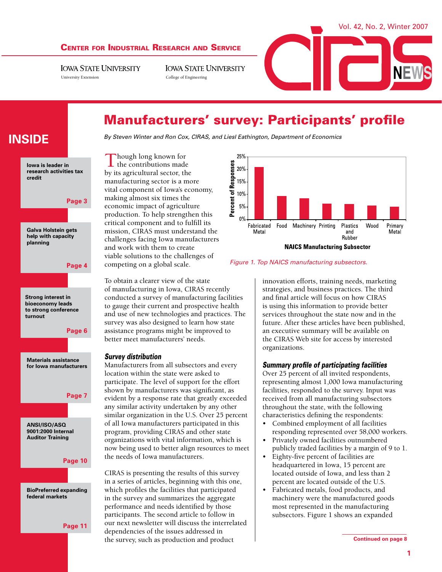#### Center for Industrial Research and Service

**IOWA STATE UNIVERSITY** University Extension College of Engineering

**IOWA STATE UNIVERSITY** 



# Manufacturers' survey: Participants' profile

*By Steven Winter and Ron Cox, CIRAS, and Liesl Eathington, Department of Economics*

Though long known for the contributions made by its agricultural sector, the manufacturing sector is a more vital component of Iowa's economy, making almost six times the economic impact of agriculture production. To help strengthen this critical component and to fulfill its mission, CIRAS must understand the challenges facing Iowa manufacturers and work with them to create viable solutions to the challenges of competing on a global scale.

To obtain a clearer view of the state of manufacturing in Iowa, CIRAS recently conducted a survey of manufacturing facilities to gauge their current and prospective health and use of new technologies and practices. The survey was also designed to learn how state assistance programs might be improved to better meet manufacturers' needs.

#### *Survey distribution*

Manufacturers from all subsectors and every location within the state were asked to participate. The level of support for the effort shown by manufacturers was significant, as evident by a response rate that greatly exceeded any similar activity undertaken by any other similar organization in the U.S. Over 25 percent of all Iowa manufacturers participated in this program, providing CIRAS and other state organizations with vital information, which is now being used to better align resources to meet the needs of Iowa manufacturers.

CIRAS is presenting the results of this survey in a series of articles, beginning with this one, which profiles the facilities that participated in the survey and summarizes the aggregate performance and needs identified by those participants. The second article to follow in our next newsletter will discuss the interrelated dependencies of the issues addressed in the survey, such as production and product



*Figure 1. Top NAICS manufacturing subsectors.*

innovation efforts, training needs, marketing strategies, and business practices. The third and final article will focus on how CIRAS is using this information to provide better services throughout the state now and in the future. After these articles have been published, an executive summary will be available on the CIRAS Web site for access by interested organizations.

#### *Summary profile of participating facilities*

Over 25 percent of all invited respondents, representing almost 1,000 Iowa manufacturing facilities, responded to the survey. Input was received from all manufacturing subsectors throughout the state, with the following characteristics defining the respondents:

- Combined employment of all facilities responding represented over 58,000 workers.
- Privately owned facilities outnumbered publicly traded facilities by a margin of 9 to 1.
- Eighty-five percent of facilities are headquartered in Iowa, 15 percent are located outside of Iowa, and less than 2 percent are located outside of the U.S.
- Fabricated metals, food products, and machinery were the manufactured goods most represented in the manufacturing subsectors. Figure 1 shows an expanded

**credit**

**Iowa is leader in research activities tax** 

**inside**



**Page 7**

**ANSI/ISO/ASQ 9001:2000 Internal Auditor Training**





**Page 11**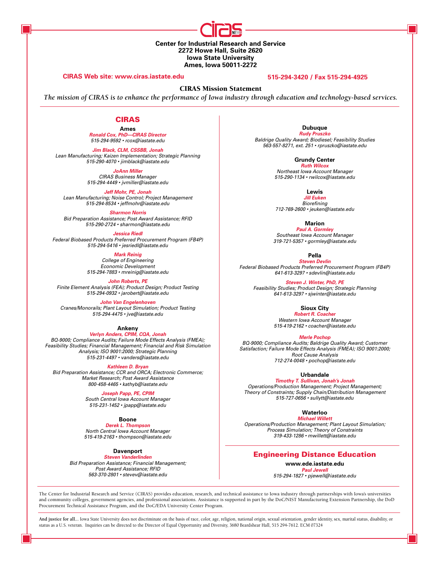**Center for Industrial Research and Service 2272 Howe Hall, Suite 2620 Iowa State University Ames, Iowa 50011-2272** 

#### **CIRAS Web site: www.ciras.iastate.edu 515-294-3420 / Fax 515-294-4925**

CIRAS Mission Statement

*The mission of CIRAS is to enhance the performance of Iowa industry through education and technology-based services.*

#### CIRAS

**Ames** *Ronald Cox, PhD—CIRAS Director 515-294-9592 • rcox@iastate.edu*

*Jim Black, CLM, CSSBB, Jonah Lean Manufacturing; Kaizen Implementation; Strategic Planning 515-290-4070 • jimblack@iastate.edu*

> *JoAnn Miller CIRAS Business Manager*

*515-294-4449 • jvmiller@iastate.edu*

*Jeff Mohr, PE, Jonah*

*Lean Manufacturing; Noise Control; Project Management 515-294-8534 • jeffmohr@iastate.edu*

*Sharmon Norris Bid Preparation Assistance; Post Award Assistance; RFID 515-290-2724 • sharmon@iastate.edu*

*Jessica Riedl*

*Federal Biobased Products Preferred Procurement Program (FB4P) 515-294-5416 • jesriedl@iastate.edu*

> *Mark Reinig College of Engineering Economic Development 515-294-7883 • mreinig@iastate.edu*

*John Roberts, PE Finite Element Analysis (FEA); Product Design; Product Testing 515-294-0932 • jarobert@iastate.edu*

*John Van Engelenhoven Cranes/Monorails; Plant Layout Simulation; Product Testing 515-294-4475 • jve@iastate.edu*

**Ankeny** *Verlyn Anders, CPIM, CQA, Jonah BQ-9000; Compliance Audits; Failure Mode Effects Analysis (FMEA); Feasibility Studies; Financial Management; Financial and Risk Simulation Analysis; ISO 9001:2000; Strategic Planning 515-231-4497 • vanders@iastate.edu*

*Kathleen D. Bryan Bid Preparation Assistance; CCR and ORCA; Electronic Commerce; Market Research; Post Award Assistance 800-458-4465 • kathyb@iastate.edu*

> *Joseph Papp, PE, CPIM South Central Iowa Account Manager*

*515-231-1452 • jpapp@iastate.edu*

**Boone**

*Derek L. Thompson North Central Iowa Account Manager 515-419-2163 • thompson@iastate.edu*

**Davenport**

*Steven Vanderlinden Bid Preparation Assistance; Financial Management; Post Award Assistance; RFID 563-370-2801 • stevev@iastate.edu*

**Dubuque** *Rudy Pruszko Baldrige Quality Award; Biodiesel; Feasibility Studies 563-557-8271, ext. 251 • rpruszko@iastate.edu*

> **Grundy Center** *Ruth Wilcox Northeast Iowa Account Manager 515-290-1134 • rwilcox@iastate.edu*

> > **Lewis** *Jill Euken*

*Biorefining 712-769-2600 • jeuken@iastate.edu*

**Marion**

*Paul A. Gormley Southeast Iowa Account Manager 319-721-5357 • gormley@iastate.edu*

**Pella**

*Steven Devlin Federal Biobased Products Preferred Procurement Program (FB4P) 641-613-3297 • sdevlin@iastate.edu*

*Steven J. Winter, PhD, PE Feasibility Studies; Product Design; Strategic Planning 641-613-3297 • sjwinter@iastate.edu*

**Sioux City**

**Robert R. Coache** *Western Iowa Account Manager 515-419-2162 • coacher@iastate.edu*

*Merle Pochop*

*BQ-9000; Compliance Audits; Baldrige Quality Award; Customer Satisfaction; Failure Mode Effects Analysis (FMEA); ISO 9001:2000; Root Cause Analysis 712-274-0048 • pochop@iastate.edu*

**Urbandale**

*Timothy T. Sullivan, Jonah's Jonah Operations/Production Management; Project Management; Theory of Constraints; Supply Chain/Distribution Management 515-727-0656 • sullytt@iastate.edu*

**Waterloo**

*Michael Willett Operations/Production Management; Plant Layout Simulation; Process Simulation; Theory of Constraints 319-433-1286 • mwillett@iastate.edu*

#### Engineering Distance Education

**www.ede.iastate.edu** *Paul Jewell 515-294-1827 • pjewell@iastate.edu*

The Center for Industrial Research and Service (CIRAS) provides education, research, and technical assistance to Iowa industry through partnerships with Iowa's universities and community colleges, government agencies, and professional associations. Assistance is supported in part by the DoC/NIST Manufacturing Extension Partnership, the DoD Procurement Technical Assistance Program, and the DoC/EDA University Center Program.

**And justice for all...** Iowa State University does not discriminate on the basis of race, color, age, religion, national origin, sexual orientation, gender identity, sex, marital status, disability, or status as a U.S. veteran. Inquiries can be directed to the Director of Equal Opportunity and Diversity, 3680 Beardshear Hall, 515 294-7612. ECM 07324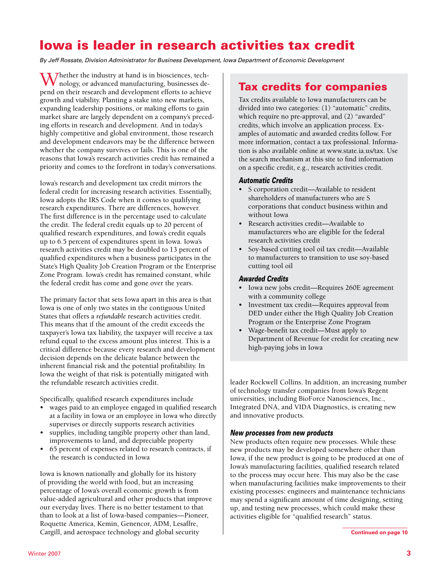# Iowa is leader in research activities tax credit

*By Jeff Rossate, Division Administrator for Business Development, Iowa Department of Economic Development*

 $\bf{W}$  Thether the industry at hand is in biosciences, technology, or advanced manufacturing, businesses depend on their research and development efforts to achieve growth and viability. Planting a stake into new markets, expanding leadership positions, or making efforts to gain market share are largely dependent on a company's preceding efforts in research and development. And in today's highly competitive and global environment, those research and development endeavors may be the difference between whether the company survives or fails. This is one of the reasons that Iowa's research activities credit has remained a priority and comes to the forefront in today's conversations.

Iowa's research and development tax credit mirrors the federal credit for increasing research activities. Essentially, Iowa adopts the IRS Code when it comes to qualifying research expenditures. There are differences, however. The first difference is in the percentage used to calculate the credit. The federal credit equals up to 20 percent of qualified research expenditures, and Iowa's credit equals up to 6.5 percent of expenditures spent in Iowa. Iowa's research activities credit may be doubled to 13 percent of qualified expenditures when a business participates in the State's High Quality Job Creation Program or the Enterprise Zone Program. Iowa's credit has remained constant, while the federal credit has come and gone over the years.

The primary factor that sets Iowa apart in this area is that Iowa is one of only two states in the contiguous United States that offers a *refundable* research activities credit. This means that if the amount of the credit exceeds the taxpayer's Iowa tax liability, the taxpayer will receive a tax refund equal to the excess amount plus interest. This is a critical difference because every research and development decision depends on the delicate balance between the inherent financial risk and the potential profitability. In Iowa the weight of that risk is potentially mitigated with the refundable research activities credit.

Specifically, qualified research expenditures include

- wages paid to an employee engaged in qualified research at a facility in Iowa or an employee in Iowa who directly supervises or directly supports research activities
- supplies, including tangible property other than land, improvements to land, and depreciable property
- 65 percent of expenses related to research contracts, if the research is conducted in Iowa

Iowa is known nationally and globally for its history of providing the world with food, but an increasing percentage of Iowa's overall economic growth is from value-added agricultural and other products that improve our everyday lives. There is no better testament to that than to look at a list of Iowa-based companies—Pioneer, Roquette America, Kemin, Genencor, ADM, Lesaffre, Cargill, and aerospace technology and global security

### Tax credits for companies

Tax credits available to Iowa manufacturers can be divided into two categories: (1) "automatic" credits, which require no pre-approval, and (2) "awarded" credits, which involve an application process. Examples of automatic and awarded credits follow. For more information, contact a tax professional. Information is also available online at www.state.ia.us/tax. Use the search mechanism at this site to find information on a specific credit, e.g., research activities credit.

#### *Automatic Credits*

- S corporation credit—Available to resident shareholders of manufacturers who are S corporations that conduct business within and without Iowa
- Research activities credit—Available to manufacturers who are eligible for the federal research activities credit
- Soy-based cutting tool oil tax credit—Available to manufacturers to transition to use soy-based cutting tool oil

#### *Awarded Credits*

- Iowa new jobs credit—Requires 260E agreement with a community college
- Investment tax credit—Requires approval from DED under either the High Quality Job Creation Program or the Enterprise Zone Program
- Wage-benefit tax credit—Must apply to Department of Revenue for credit for creating new high-paying jobs in Iowa

leader Rockwell Collins. In addition, an increasing number of technology transfer companies from Iowa's Regent universities, including BioForce Nanosciences, Inc., Integrated DNA, and VIDA Diagnostics, is creating new and innovative products.

#### *New processes from new products*

New products often require new processes. While these new products may be developed somewhere other than Iowa, if the new product is going to be produced at one of Iowa's manufacturing facilities, qualified research related to the process may occur here. This may also be the case when manufacturing facilities make improvements to their existing processes: engineers and maintenance technicians may spend a significant amount of time designing, setting up, and testing new processes, which could make these activities eligible for "qualified research" status.

**Continued on page 10**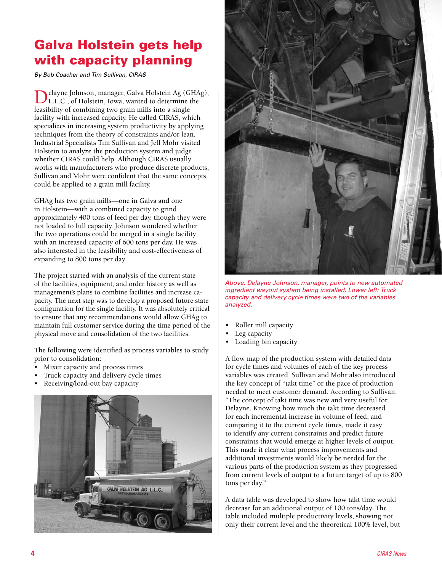# Galva Holstein gets help with capacity planning

*By Bob Coacher and Tim Sullivan, CIRAS*

Delayne Johnson, manager, Galva Holstein Ag (GHAg),<br>L.L.C., of Holstein, Iowa, wanted to determine the feasibility of combining two grain mills into a single facility with increased capacity. He called CIRAS, which specializes in increasing system productivity by applying techniques from the theory of constraints and/or lean. Industrial Specialists Tim Sullivan and Jeff Mohr visited Holstein to analyze the production system and judge whether CIRAS could help. Although CIRAS usually works with manufacturers who produce discrete products, Sullivan and Mohr were confident that the same concepts could be applied to a grain mill facility.

GHAg has two grain mills—one in Galva and one in Holstein—with a combined capacity to grind approximately 400 tons of feed per day, though they were not loaded to full capacity. Johnson wondered whether the two operations could be merged in a single facility with an increased capacity of 600 tons per day. He was also interested in the feasibility and cost-effectiveness of expanding to 800 tons per day.

The project started with an analysis of the current state of the facilities, equipment, and order history as well as management's plans to combine facilities and increase capacity. The next step was to develop a proposed future state configuration for the single facility. It was absolutely critical to ensure that any recommendations would allow GHAg to maintain full customer service during the time period of the physical move and consolidation of the two facilities.

The following were identified as process variables to study prior to consolidation:

- Mixer capacity and process times
- Truck capacity and delivery cycle times
- Receiving/load-out bay capacity





*Above: Delayne Johnson, manager, points to new automated ingredient wayout system being installed. Lower left: Truck capacity and delivery cycle times were two of the variables analyzed.*

- Roller mill capacity
- Leg capacity
- Loading bin capacity

A flow map of the production system with detailed data for cycle times and volumes of each of the key process variables was created. Sullivan and Mohr also introduced the key concept of "takt time" or the pace of production needed to meet customer demand. According to Sullivan, "The concept of takt time was new and very useful for Delayne. Knowing how much the takt time decreased for each incremental increase in volume of feed, and comparing it to the current cycle times, made it easy to identify any current constraints and predict future constraints that would emerge at higher levels of output. This made it clear what process improvements and additional investments would likely be needed for the various parts of the production system as they progressed from current levels of output to a future target of up to 800 tons per day."

A data table was developed to show how takt time would decrease for an additional output of 100 tons/day. The table included multiple productivity levels, showing not only their current level and the theoretical 100% level, but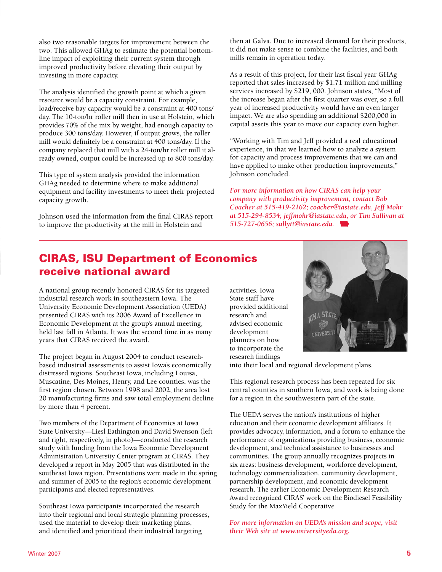also two reasonable targets for improvement between the two. This allowed GHAg to estimate the potential bottomline impact of exploiting their current system through improved productivity before elevating their output by investing in more capacity.

The analysis identified the growth point at which a given resource would be a capacity constraint. For example, load/receive bay capacity would be a constraint at 400 tons/ day. The 10-ton/hr roller mill then in use at Holstein, which provides 70% of the mix by weight, had enough capacity to produce 300 tons/day. However, if output grows, the roller mill would definitely be a constraint at 400 tons/day. If the company replaced that mill with a 24-ton/hr roller mill it already owned, output could be increased up to 800 tons/day.

This type of system analysis provided the information GHAg needed to determine where to make additional equipment and facility investments to meet their projected capacity growth.

Johnson used the information from the final CIRAS report to improve the productivity at the mill in Holstein and

then at Galva. Due to increased demand for their products, it did not make sense to combine the facilities, and both mills remain in operation today.

As a result of this project, for their last fiscal year GHAg reported that sales increased by \$1.71 million and milling services increased by \$219, 000. Johnson states, "Most of the increase began after the first quarter was over, so a full year of increased productivity would have an even larger impact. We are also spending an additional \$200,000 in capital assets this year to move our capacity even higher.

"Working with Tim and Jeff provided a real educational experience, in that we learned how to analyze a system for capacity and process improvements that we can and have applied to make other production improvements," Johnson concluded.

*For more information on how CIRAS can help your company with productivity improvement, contact Bob Coacher at 515-419-2162; coacher@iastate.edu, Jeff Mohr at 515-294-8534; jeffmohr@iastate.edu, or Tim Sullivan at 515-727-0656; sullytt@iastate.edu.* 

# CIRAS, ISU Department of Economics receive national award

A national group recently honored CIRAS for its targeted industrial research work in southeastern Iowa. The University Economic Development Association (UEDA) presented CIRAS with its 2006 Award of Excellence in Economic Development at the group's annual meeting, held last fall in Atlanta. It was the second time in as many years that CIRAS received the award.

The project began in August 2004 to conduct researchbased industrial assessments to assist Iowa's economically distressed regions. Southeast Iowa, including Louisa, Muscatine, Des Moines, Henry, and Lee counties, was the first region chosen. Between 1998 and 2002, the area lost 20 manufacturing firms and saw total employment decline by more than 4 percent.

Two members of the Department of Economics at Iowa State University—Liesl Eathington and David Swenson (left and right, respectively, in photo)—conducted the research study with funding from the Iowa Economic Development Administration University Center program at CIRAS. They developed a report in May 2005 that was distributed in the southeast Iowa region. Presentations were made in the spring and summer of 2005 to the region's economic development participants and elected representatives.

Southeast Iowa participants incorporated the research into their regional and local strategic planning processes, used the material to develop their marketing plans, and identified and prioritized their industrial targeting

activities. Iowa State staff have provided additional research and advised economic development planners on how to incorporate the research findings



into their local and regional development plans.

This regional research process has been repeated for six central counties in southern Iowa, and work is being done for a region in the southwestern part of the state.

The UEDA serves the nation's institutions of higher education and their economic development affiliates. It provides advocacy, information, and a forum to enhance the performance of organizations providing business, economic development, and technical assistance to businesses and communities. The group annually recognizes projects in six areas: business development, workforce development, technology commercialization, community development, partnership development, and economic development research. The earlier Economic Development Research Award recognized CIRAS' work on the Biodiesel Feasibility Study for the MaxYield Cooperative.

*For more information on UEDA's mission and scope, visit their Web site at www.universityeda.org.*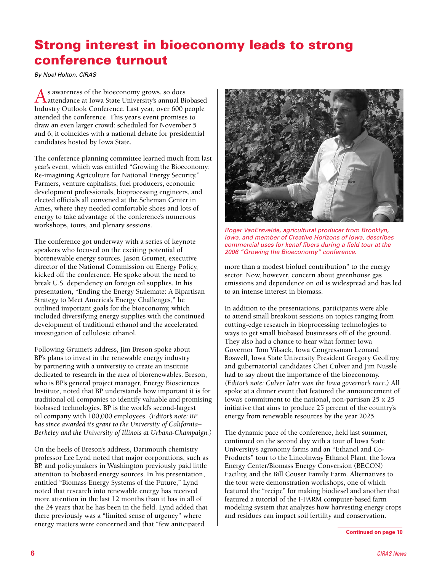# Strong interest in bioeconomy leads to strong conference turnout

*By Noel Holton, CIRAS*

As awareness of the bioeconomy grows, so does attendance at Iowa State University's annual Biobased Industry Outlook Conference. Last year, over 600 people attended the conference. This year's event promises to draw an even larger crowd: scheduled for November 5 and 6, it coincides with a national debate for presidential candidates hosted by Iowa State.

The conference planning committee learned much from last year's event, which was entitled "Growing the Bioeconomy: Re-imagining Agriculture for National Energy Security." Farmers, venture capitalists, fuel producers, economic development professionals, bioprocessing engineers, and elected officials all convened at the Scheman Center in Ames, where they needed comfortable shoes and lots of energy to take advantage of the conference's numerous workshops, tours, and plenary sessions.

The conference got underway with a series of keynote speakers who focused on the exciting potential of biorenewable energy sources. Jason Grumet, executive director of the National Commission on Energy Policy, kicked off the conference. He spoke about the need to break U.S. dependency on foreign oil supplies. In his presentation, "Ending the Energy Stalemate: A Bipartisan Strategy to Meet America's Energy Challenges," he outlined important goals for the bioeconomy, which included diversifying energy supplies with the continued development of traditional ethanol and the accelerated investigation of cellulosic ethanol.

Following Grumet's address, Jim Breson spoke about BP's plans to invest in the renewable energy industry by partnering with a university to create an institute dedicated to research in the area of biorenewables. Breson, who is BP's general project manager, Energy Biosciences Institute, noted that BP understands how important it is for traditional oil companies to identify valuable and promising biobased technologies. BP is the world's second-largest oil company with 100,000 employees. *(Editor's note: BP has since awarded its grant to the University of California– Berkeley and the University of Illinois at Urbana-Champaign.)*

On the heels of Breson's address, Dartmouth chemistry professor Lee Lynd noted that major corporations, such as BP, and policymakers in Washington previously paid little attention to biobased energy sources. In his presentation, entitled "Biomass Energy Systems of the Future," Lynd noted that research into renewable energy has received more attention in the last 12 months than it has in all of the 24 years that he has been in the field. Lynd added that there previously was a "limited sense of urgency" where energy matters were concerned and that "few anticipated



*Roger VanErsvelde, agricultural producer from Brooklyn, Iowa, and member of Creative Horizons of Iowa, describes commercial uses for kenaf fibers during a field tour at the 2006 "Growing the Bioeconomy" conference.*

more than a modest biofuel contribution" to the energy sector. Now, however, concern about greenhouse gas emissions and dependence on oil is widespread and has led to an intense interest in biomass.

In addition to the presentations, participants were able to attend small breakout sessions on topics ranging from cutting-edge research in bioprocessing technologies to ways to get small biobased businesses off of the ground. They also had a chance to hear what former Iowa Governor Tom Vilsack, Iowa Congressman Leonard Boswell, Iowa State University President Gregory Geoffroy, and gubernatorial candidates Chet Culver and Jim Nussle had to say about the importance of the bioeconomy. *(Editor's note: Culver later won the Iowa governor's race.)* All spoke at a dinner event that featured the announcement of Iowa's commitment to the national, non-partisan 25 x 25 initiative that aims to produce 25 percent of the country's energy from renewable resources by the year 2025.

The dynamic pace of the conference, held last summer, continued on the second day with a tour of Iowa State University's agronomy farms and an "Ethanol and Co-Products" tour to the Lincolnway Ethanol Plant, the Iowa Energy Center/Biomass Energy Conversion (BECON) Facility, and the Bill Couser Family Farm. Alternatives to the tour were demonstration workshops, one of which featured the "recipe" for making biodiesel and another that featured a tutorial of the I-FARM computer-based farm modeling system that analyzes how harvesting energy crops and residues can impact soil fertility and conservation.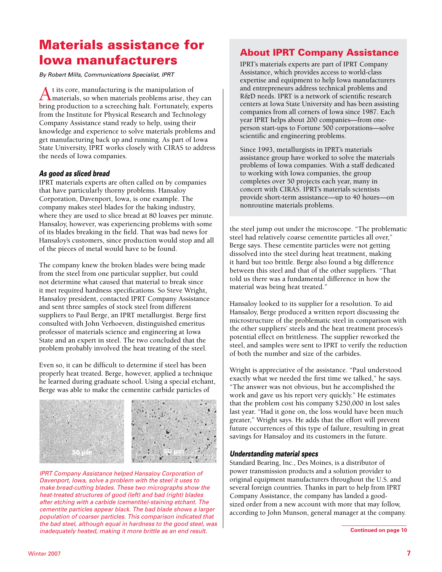# Materials assistance for Iowa manufacturers

*By Robert Mills, Communications Specialist, IPRT*

At its core, manufacturing is the manipulation of materials, so when materials problems arise, they can bring production to a screeching halt. Fortunately, experts from the Institute for Physical Research and Technology Company Assistance stand ready to help, using their knowledge and experience to solve materials problems and get manufacturing back up and running. As part of Iowa State University, IPRT works closely with CIRAS to address the needs of Iowa companies.

#### *As good as sliced bread*

IPRT materials experts are often called on by companies that have particularly thorny problems. Hansaloy Corporation, Davenport, Iowa, is one example. The company makes steel blades for the baking industry, where they are used to slice bread at 80 loaves per minute. Hansaloy, however, was experiencing problems with some of its blades breaking in the field. That was bad news for Hansaloy's customers, since production would stop and all of the pieces of metal would have to be found.

The company knew the broken blades were being made from the steel from one particular supplier, but could not determine what caused that material to break since it met required hardness specifications. So Steve Wright, Hansaloy president, contacted IPRT Company Assistance and sent three samples of stock steel from different suppliers to Paul Berge, an IPRT metallurgist. Berge first consulted with John Verhoeven, distinguished emeritus professor of materials science and engineering at Iowa State and an expert in steel. The two concluded that the problem probably involved the heat treating of the steel.

Even so, it can be difficult to determine if steel has been properly heat treated. Berge, however, applied a technique he learned during graduate school. Using a special etchant, Berge was able to make the cementite carbide particles of



*IPRT Company Assistance helped Hansaloy Corporation of Davenport, Iowa, solve a problem with the steel it uses to make bread-cutting blades. These two micrographs show the heat-treated structures of good (left) and bad (right) blades after etching with a carbide (cementite)-staining etchant. The cementite particles appear black. The bad blade shows a larger population of coarser particles. This comparison indicated that the bad steel, although equal in hardness to the good steel, was inadequately heated, making it more brittle as an end result.*

### About IPRT Company Assistance

IPRT's materials experts are part of IPRT Company Assistance, which provides access to world-class expertise and equipment to help Iowa manufacturers and entrepreneurs address technical problems and R&D needs. IPRT is a network of scientific research centers at Iowa State University and has been assisting companies from all corners of Iowa since 1987. Each year IPRT helps about 200 companies—from oneperson start-ups to Fortune 500 corporations—solve scientific and engineering problems.

Since 1993, metallurgists in IPRT's materials assistance group have worked to solve the materials problems of Iowa companies. With a staff dedicated to working with Iowa companies, the group completes over 50 projects each year, many in concert with CIRAS. IPRT's materials scientists provide short-term assistance—up to 40 hours—on nonroutine materials problems.

the steel jump out under the microscope. "The problematic steel had relatively coarse cementite particles all over," Berge says. These cementite particles were not getting dissolved into the steel during heat treatment, making it hard but too brittle. Berge also found a big difference between this steel and that of the other suppliers. "That told us there was a fundamental difference in how the material was being heat treated."

Hansaloy looked to its supplier for a resolution. To aid Hansaloy, Berge produced a written report discussing the microstructure of the problematic steel in comparison with the other suppliers' steels and the heat treatment process's potential effect on brittleness. The supplier reworked the steel, and samples were sent to IPRT to verify the reduction of both the number and size of the carbides.

Wright is appreciative of the assistance. "Paul understood exactly what we needed the first time we talked," he says. "The answer was not obvious, but he accomplished the work and gave us his report very quickly." He estimates that the problem cost his company \$250,000 in lost sales last year. "Had it gone on, the loss would have been much greater," Wright says. He adds that the effort will prevent future occurrences of this type of failure, resulting in great savings for Hansaloy and its customers in the future.

#### *Understanding material specs*

Standard Bearing, Inc., Des Moines, is a distributor of power transmission products and a solution provider to original equipment manufacturers throughout the U.S. and several foreign countries. Thanks in part to help from IPRT Company Assistance, the company has landed a goodsized order from a new account with more that may follow, according to John Munson, general manager at the company.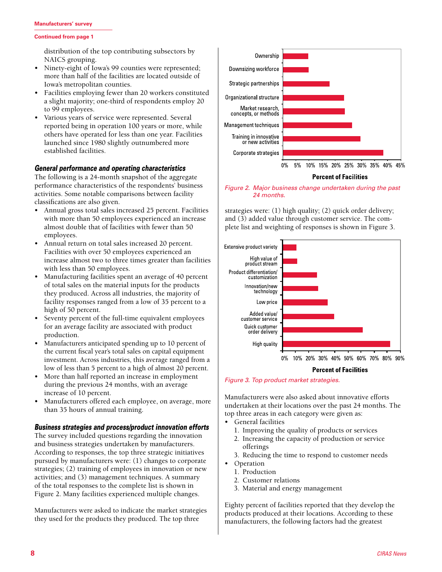#### **Manufacturers' survey**

#### **Continued from page 1**

distribution of the top contributing subsectors by NAICS grouping.

- Ninety-eight of Iowa's 99 counties were represented; more than half of the facilities are located outside of Iowa's metropolitan counties.
- Facilities employing fewer than 20 workers constituted a slight majority; one-third of respondents employ 20 to 99 employees.
- Various years of service were represented. Several reported being in operation 100 years or more, while others have operated for less than one year. Facilities launched since 1980 slightly outnumbered more established facilities.

#### *General performance and operating characteristics*

The following is a 24-month snapshot of the aggregate performance characteristics of the respondents' business activities. Some notable comparisons between facility classifications are also given.

- Annual gross total sales increased 25 percent. Facilities with more than 50 employees experienced an increase almost double that of facilities with fewer than 50 employees.
- Annual return on total sales increased 20 percent. Facilities with over 50 employees experienced an increase almost two to three times greater than facilities with less than 50 employees.
- Manufacturing facilities spent an average of 40 percent of total sales on the material inputs for the products they produced. Across all industries, the majority of facility responses ranged from a low of 35 percent to a high of 50 percent.
- Seventy percent of the full-time equivalent employees for an average facility are associated with product production.
- Manufacturers anticipated spending up to 10 percent of the current fiscal year's total sales on capital equipment investment. Across industries, this average ranged from a low of less than 5 percent to a high of almost 20 percent.
- More than half reported an increase in employment during the previous 24 months, with an average increase of 10 percent.
- Manufacturers offered each employee, on average, more than 35 hours of annual training.

#### *Business strategies and process/product innovation efforts*

The survey included questions regarding the innovation and business strategies undertaken by manufacturers. According to responses, the top three strategic initiatives pursued by manufacturers were: (1) changes to corporate strategies; (2) training of employees in innovation or new activities; and (3) management techniques. A summary of the total responses to the complete list is shown in Figure 2. Many facilities experienced multiple changes.

Manufacturers were asked to indicate the market strategies they used for the products they produced. The top three



**Percent of Facilities** 

*Figure 2. Major business change undertaken during the past 24 months.*

strategies were: (1) high quality; (2) quick order delivery; and (3) added value through customer service. The complete list and weighting of responses is shown in Figure 3.



*Figure 3. Top product market strategies.*

Manufacturers were also asked about innovative efforts undertaken at their locations over the past 24 months. The top three areas in each category were given as:

- General facilities
	- 1. Improving the quality of products or services
	- 2. Increasing the capacity of production or service offerings
	- 3. Reducing the time to respond to customer needs
- Operation
	- 1. Production
	- 2. Customer relations
	- 3. Material and energy management

Eighty percent of facilities reported that they develop the products produced at their locations. According to these manufacturers, the following factors had the greatest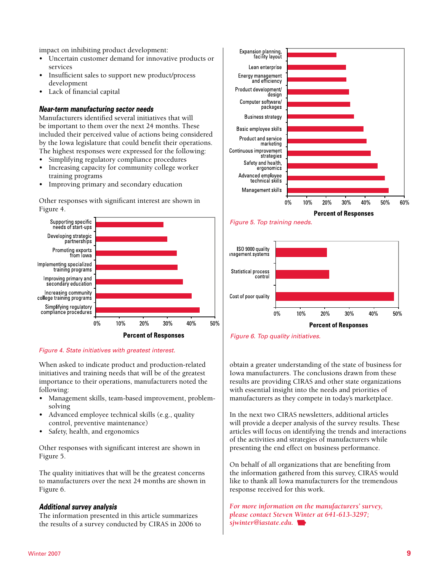impact on inhibiting product development:

- Uncertain customer demand for innovative products or services
- Insufficient sales to support new product/process development
- Lack of financial capital

### *Near-term manufacturing sector needs*

Manufacturers identified several initiatives that will be important to them over the next 24 months. These included their perceived value of actions being considered by the Iowa legislature that could benefit their operations. The highest responses were expressed for the following:

- Simplifying regulatory compliance procedures
- Increasing capacity for community college worker training programs
- Improving primary and secondary education

Other responses with significant interest are shown in Figure 4.



#### *Figure 4. State initiatives with greatest interest.*

When asked to indicate product and production-related initiatives and training needs that will be of the greatest importance to their operations, manufacturers noted the following:

- Management skills, team-based improvement, problemsolving
- Advanced employee technical skills (e.g., quality control, preventive maintenance)
- Safety, health, and ergonomics

Other responses with significant interest are shown in Figure 5.

The quality initiatives that will be the greatest concerns to manufacturers over the next 24 months are shown in Figure 6.

#### *Additional survey analysis*

The information presented in this article summarizes the results of a survey conducted by CIRAS in 2006 to









obtain a greater understanding of the state of business for Iowa manufacturers. The conclusions drawn from these results are providing CIRAS and other state organizations with essential insight into the needs and priorities of manufacturers as they compete in today's marketplace.

In the next two CIRAS newsletters, additional articles will provide a deeper analysis of the survey results. These articles will focus on identifying the trends and interactions of the activities and strategies of manufacturers while presenting the end effect on business performance.

On behalf of all organizations that are benefiting from the information gathered from this survey, CIRAS would like to thank all Iowa manufacturers for the tremendous response received for this work.

*For more information on the manufacturers' survey, please contact Steven Winter at 641-613-3297; sjwinter@iastate.edu.*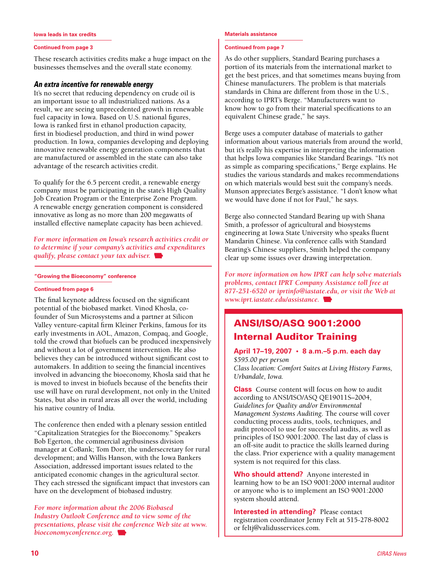**Iowa leads in tax credits**

#### **Continued from page 3**

These research activities credits make a huge impact on the businesses themselves and the overall state economy.

#### *An extra incentive for renewable energy*

It's no secret that reducing dependency on crude oil is an important issue to all industrialized nations. As a result, we are seeing unprecedented growth in renewable fuel capacity in Iowa. Based on U.S. national figures, Iowa is ranked first in ethanol production capacity, first in biodiesel production, and third in wind power production. In Iowa, companies developing and deploying innovative renewable energy generation components that are manufactured or assembled in the state can also take advantage of the research activities credit.

To qualify for the 6.5 percent credit, a renewable energy company must be participating in the state's High Quality Job Creation Program or the Enterprise Zone Program. A renewable energy generation component is considered innovative as long as no more than 200 megawatts of installed effective nameplate capacity has been achieved.

*For more information on Iowa's research activities credit or to determine if your company's activities and expenditures qualify, please contact your tax adviser.* 

**"Growing the Bioeconomy" conference**

#### **Continued from page 6**

The final keynote address focused on the significant potential of the biobased market. Vinod Khosla, cofounder of Sun Microsystems and a partner at Silicon Valley venture-capital firm Kleiner Perkins, famous for its early investments in AOL, Amazon, Compaq, and Google, told the crowd that biofuels can be produced inexpensively and without a lot of government intervention. He also believes they can be introduced without significant cost to automakers. In addition to seeing the financial incentives involved in advancing the bioeconomy, Khosla said that he is moved to invest in biofuels because of the benefits their use will have on rural development, not only in the United States, but also in rural areas all over the world, including his native country of India.

The conference then ended with a plenary session entitled "Capitalization Strategies for the Bioeconomy." Speakers Bob Egerton, the commercial agribusiness division manager at CoBank; Tom Dorr, the undersecretary for rural development; and Willis Hanson, with the Iowa Bankers Association, addressed important issues related to the anticipated economic changes in the agricultural sector. They each stressed the significant impact that investors can have on the development of biobased industry.

*For more information about the 2006 Biobased Industry Outlook Conference and to view some of the presentations, please visit the conference Web site at www. bioeconomyconference.org.* 

#### **Materials assistance**

#### **Continued from page 7**

As do other suppliers, Standard Bearing purchases a portion of its materials from the international market to get the best prices, and that sometimes means buying from Chinese manufacturers. The problem is that materials standards in China are different from those in the U.S., according to IPRT's Berge. "Manufacturers want to know how to go from their material specifications to an equivalent Chinese grade," he says.

Berge uses a computer database of materials to gather information about various materials from around the world, but it's really his expertise in interpreting the information that helps Iowa companies like Standard Bearings. "It's not as simple as comparing specifications," Berge explains. He studies the various standards and makes recommendations on which materials would best suit the company's needs. Munson appreciates Berge's assistance. "I don't know what we would have done if not for Paul," he says.

Berge also connected Standard Bearing up with Shana Smith, a professor of agricultural and biosystems engineering at Iowa State University who speaks fluent Mandarin Chinese. Via conference calls with Standard Bearing's Chinese suppliers, Smith helped the company clear up some issues over drawing interpretation.

*For more information on how IPRT can help solve materials problems, contact IPRT Company Assistance toll free at 877-251-6520 or iprtinfo@iastate.edu, or visit the Web at www.iprt.iastate.edu/assistance.* 

### ANSI/ISO/ASQ 9001:2000 Internal Auditor Training

#### **April 17–19, 2007 • 8 a.m.–5 p.m. each day** *\$595.00 per person Class location: Comfort Suites at Living History Farms, Urbandale, Iowa.*

**Class** Course content will focus on how to audit according to ANSI/ISO/ASQ QE19011S–2004, *Guidelines for Quality and/or Environmental Management Systems Auditing*. The course will cover conducting process audits, tools, techniques, and audit protocol to use for successful audits, as well as principles of ISO 9001:2000. The last day of class is an off-site audit to practice the skills learned during the class. Prior experience with a quality management system is not required for this class.

**Who should attend?** Anyone interested in learning how to be an ISO 9001:2000 internal auditor or anyone who is to implement an ISO 9001:2000 system should attend.

**Interested in attending?** Please contact registration coordinator Jenny Felt at 515-278-8002 or feltj@validusservices.com.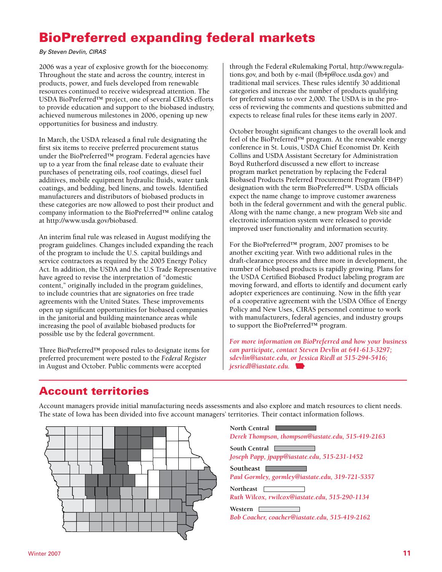# BioPreferred expanding federal markets

*By Steven Devlin, CIRAS*

2006 was a year of explosive growth for the bioeconomy. Throughout the state and across the country, interest in products, power, and fuels developed from renewable resources continued to receive widespread attention. The USDA BioPreferred™ project, one of several CIRAS efforts to provide education and support to the biobased industry, achieved numerous milestones in 2006, opening up new opportunities for business and industry.

In March, the USDA released a final rule designating the first six items to receive preferred procurement status under the BioPreferred<sup>™</sup> program. Federal agencies have up to a year from the final release date to evaluate their purchases of penetrating oils, roof coatings, diesel fuel additives, mobile equipment hydraulic fluids, water tank coatings, and bedding, bed linens, and towels. Identified manufacturers and distributors of biobased products in these categories are now allowed to post their product and company information to the BioPreferred™ online catalog at http://www.usda.gov/biobased.

An interim final rule was released in August modifying the program guidelines. Changes included expanding the reach of the program to include the U.S. capital buildings and service contractors as required by the 2005 Energy Policy Act. In addition, the USDA and the U.S Trade Representative have agreed to revise the interpretation of "domestic content," originally included in the program guidelines, to include countries that are signatories on free trade agreements with the United States. These improvements open up significant opportunities for biobased companies in the janitorial and building maintenance areas while increasing the pool of available biobased products for possible use by the federal government.

Three BioPreferred™ proposed rules to designate items for preferred procurement were posted to the *Federal Register* in August and October. Public comments were accepted

through the Federal eRulemaking Portal, http://www.regulations.gov, and both by e-mail (fb4p@oce.usda.gov) and traditional mail services. These rules identify 30 additional categories and increase the number of products qualifying for preferred status to over 2,000. The USDA is in the process of reviewing the comments and questions submitted and expects to release final rules for these items early in 2007.

October brought significant changes to the overall look and feel of the BioPreferred™ program. At the renewable energy conference in St. Louis, USDA Chief Economist Dr. Keith Collins and USDA Assistant Secretary for Administration Boyd Rutherford discussed a new effort to increase program market penetration by replacing the Federal Biobased Products Preferred Procurement Program (FB4P) designation with the term BioPreferred™. USDA officials expect the name change to improve customer awareness both in the federal government and with the general public. Along with the name change, a new program Web site and electronic information system were released to provide improved user functionality and information security.

For the BioPreferred™ program, 2007 promises to be another exciting year. With two additional rules in the draft-clearance process and three more in development, the number of biobased products is rapidly growing. Plans for the USDA Certified Biobased Product labeling program are moving forward, and efforts to identify and document early adopter experiences are continuing. Now in the fifth year of a cooperative agreement with the USDA Office of Energy Policy and New Uses, CIRAS personnel continue to work with manufacturers, federal agencies, and industry groups to support the BioPreferred™ program.

*For more information on BioPreferred and how your business can participate, contact Steven Devlin at 641-613-3297; sdevlin@iastate.edu, or Jessica Riedl at 515-294-5416; jesriedl@iastate.edu.* 

### Account territories

Account managers provide initial manufacturing needs assessments and also explore and match resources to client needs. The state of Iowa has been divided into five account managers' territories. Their contact information follows.



**North Central** *Derek Thompson, thompson@iastate.edu, 515-419-2163* **South Central** *Joseph Papp, jpapp@iastate.edu, 515-231-1452* Southeast **Law 2020** *Paul Gormley, gormley@iastate.edu, 319-721-5357* **Northeast**

*Ruth Wilcox, rwilcox@iastate.edu, 515-290-1134*

**Western** *Bob Coacher, coacher@iastate.edu, 515-419-2162*